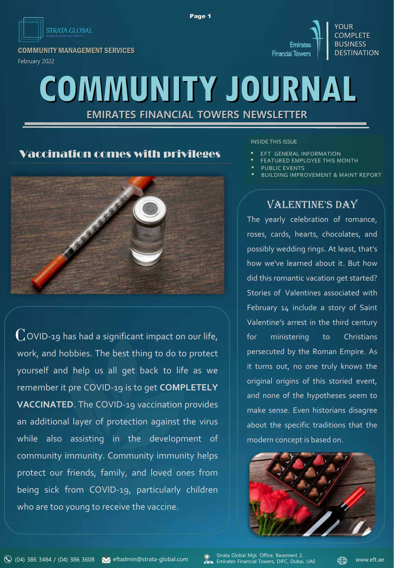

COMMUNITY MANAGEMENT SERVICES February 2022



# **COMMUNITY JOURNAL**

Page 1

**EMIRATES FINANCIAL TOWERS NEWSLETTER**

### Vaccination comes with privileges



 $\mathop{\mathrm{Cov}}$  D-19 has had a significant impact on our life, work, and hobbies. The best thing to do to protect yourself and help us all get back to life as we remember it pre COVID-19 is to get **COMPLETELY VACCINATED**. The COVID-19 vaccination provides an additional layer of protection against the virus while also assisting in the development of community immunity. Community immunity helps protect our friends, family, and loved ones from being sick from COVID-19, particularly children who are too young to receive the vaccine.

INSIDE THIS ISSUE

- **EFT GENERAL INFORMATION**
- FEATURED EMPLOYEE THIS MONTH
- PUBLIC EVENTS
- BUILDING IMPROVEMENT & MAINT REPORT

## VALENTINE'S DAY

The yearly celebration of romance, roses, cards, hearts, chocolates, and possibly wedding rings. At least, that's how we've learned about it. But how did this romantic vacation get started? Stories of Valentines associated with February 14 include a story of Saint Valentine's arrest in the third century for ministering to Christians persecuted by the Roman Empire. As it turns out, no one truly knows the original origins of this storied event, and none of the hypotheses seem to make sense. Even historians disagree about the specific traditions that the modern concept is based on.



Strata Global Mgt. Office, Basement 2, Emirates Financial Towers, DIFC, Dubai, UAE